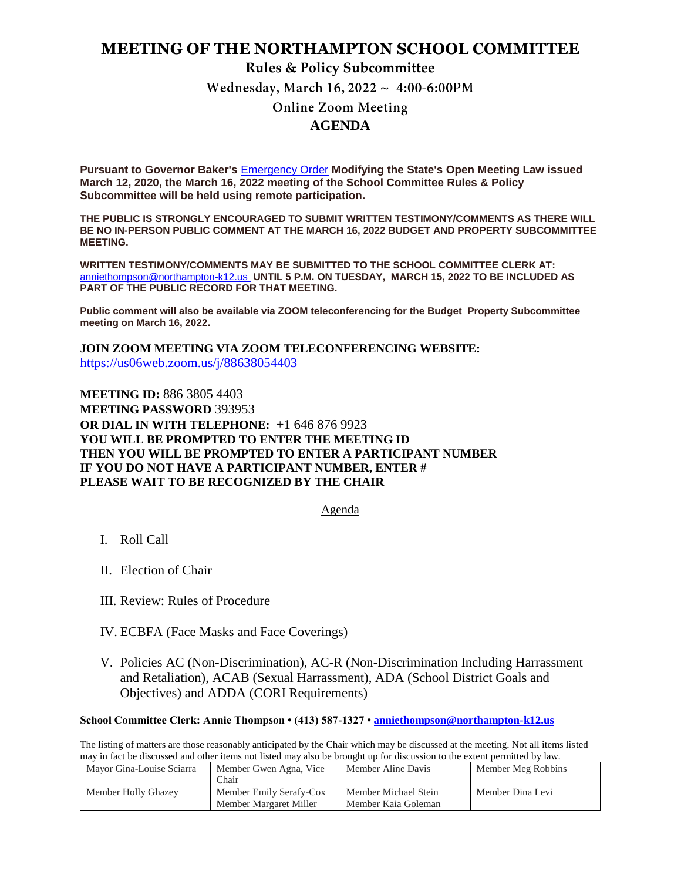## **MEETING OF THE NORTHAMPTON SCHOOL COMMITTEE**

#### **Rules & Policy Subcommittee**

Wednesday, March 16,  $2022 \sim 4:00-6:00 \text{PM}$ 

### **Online Zoom Meeting AGENDA**

**Pursuant to Governor Baker's** [Emergency Order](https://www.mass.gov/doc/open-meeting-law-order-march-12-2020/download) **Modifying the State's Open Meeting Law issued March 12, 2020, the March 16, 2022 meeting of the School Committee Rules & Policy Subcommittee will be held using remote participation.**

**THE PUBLIC IS STRONGLY ENCOURAGED TO SUBMIT WRITTEN TESTIMONY/COMMENTS AS THERE WILL BE NO IN-PERSON PUBLIC COMMENT AT THE MARCH 16, 2022 BUDGET AND PROPERTY SUBCOMMITTEE MEETING.**

**WRITTEN TESTIMONY/COMMENTS MAY BE SUBMITTED TO THE SCHOOL COMMITTEE CLERK AT:**  [anniethompson@northampton-k12.us](file://///NSNHSOES01/SYS/2020/03%20March/032620%20SCM%20Budget/anniethompson@northampton-k12.us) **UNTIL 5 P.M. ON TUESDAY, MARCH 15, 2022 TO BE INCLUDED AS PART OF THE PUBLIC RECORD FOR THAT MEETING.**

**Public comment will also be available via ZOOM teleconferencing for the Budget Property Subcommittee meeting on March 16, 2022.**

**JOIN ZOOM MEETING VIA ZOOM TELECONFERENCING WEBSITE:**  <https://us06web.zoom.us/j/88638054403>

**MEETING ID:** 886 3805 4403 **MEETING PASSWORD** 393953 **OR DIAL IN WITH TELEPHONE:** +1 646 876 9923 **YOU WILL BE PROMPTED TO ENTER THE MEETING ID THEN YOU WILL BE PROMPTED TO ENTER A PARTICIPANT NUMBER IF YOU DO NOT HAVE A PARTICIPANT NUMBER, ENTER # PLEASE WAIT TO BE RECOGNIZED BY THE CHAIR**

Agenda

- I. Roll Call
- II. Election of Chair
- III. Review: Rules of Procedure
- IV. ECBFA (Face Masks and Face Coverings)
- V. Policies AC (Non-Discrimination), AC-R (Non-Discrimination Including Harrassment and Retaliation), ACAB (Sexual Harrassment), ADA (School District Goals and Objectives) and ADDA (CORI Requirements)

#### **School Committee Clerk: Annie Thompson • (413) 587-1327 • [anniethompson@northampton-k12.us](about:blank)**

The listing of matters are those reasonably anticipated by the Chair which may be discussed at the meeting. Not all items listed may in fact be discussed and other items not listed may also be brought up for discussion to the extent permitted by law.

| Mavor Gina-Louise Sciarra | Member Gwen Agna, Vice<br>Chair | Member Aline Davis   | Member Meg Robbins |
|---------------------------|---------------------------------|----------------------|--------------------|
| Member Holly Ghazey       | Member Emily Serafy-Cox         | Member Michael Stein | Member Dina Levi   |
|                           | Member Margaret Miller          | Member Kaia Goleman  |                    |